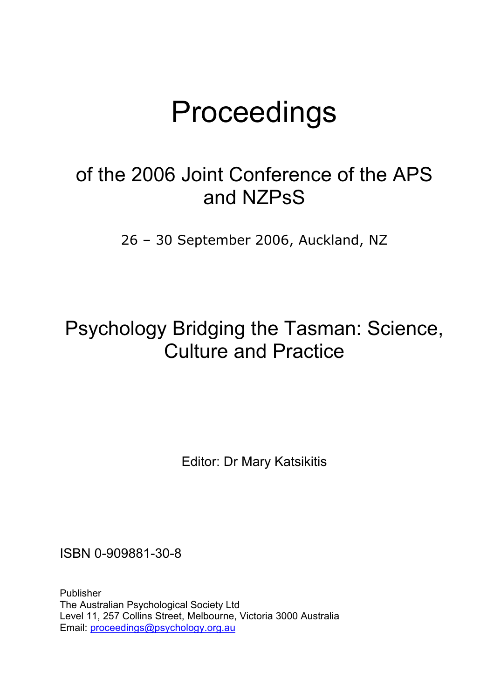## Proceedings

## of the 2006 Joint Conference of the APS and NZPsS

26 – 30 September 2006, Auckland, NZ

## Psychology Bridging the Tasman: Science, Culture and Practice

Editor: Dr Mary Katsikitis

ISBN 0-909881-30-8

Publisher The Australian Psychological Society Ltd Level 11, 257 Collins Street, Melbourne, Victoria 3000 Australia Email: proceedings@psychology.org.au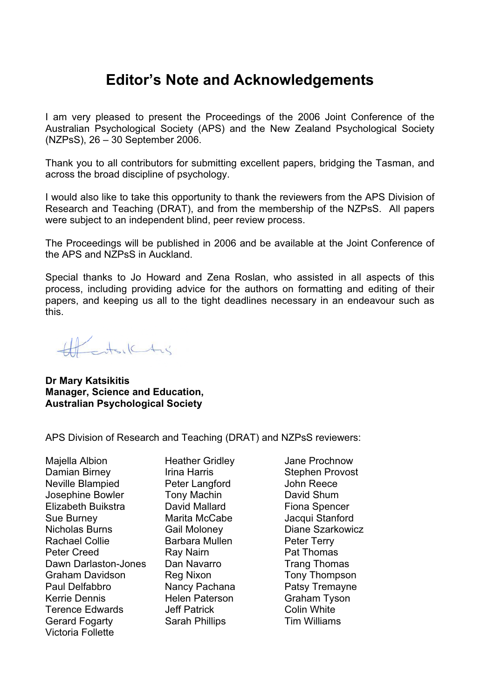## **Editor's Note and Acknowledgements**

I am very pleased to present the Proceedings of the 2006 Joint Conference of the Australian Psychological Society (APS) and the New Zealand Psychological Society (NZPsS), 26 – 30 September 2006.

Thank you to all contributors for submitting excellent papers, bridging the Tasman, and across the broad discipline of psychology.

I would also like to take this opportunity to thank the reviewers from the APS Division of Research and Teaching (DRAT), and from the membership of the NZPsS. All papers were subject to an independent blind, peer review process.

The Proceedings will be published in 2006 and be available at the Joint Conference of the APS and NZPsS in Auckland.

Special thanks to Jo Howard and Zena Roslan, who assisted in all aspects of this process, including providing advice for the authors on formatting and editing of their papers, and keeping us all to the tight deadlines necessary in an endeavour such as this.

Henrichs

**Dr Mary Katsikitis Manager, Science and Education, Australian Psychological Society**

APS Division of Research and Teaching (DRAT) and NZPsS reviewers:

Majella Albion Heather Gridley Jane Prochnow Damian Birney **Irina Harris** Stephen Provost Neville Blampied **Peter Langford** John Reece Josephine Bowler **Tony Machin David Shum** Elizabeth Buikstra David Mallard Fiona Spencer Sue Burney **Marita McCabe** Jacqui Stanford Nicholas Burns Gail Moloney Diane Szarkowicz Rachael Collie **Barbara Mullen** Peter Terry Peter Creed **Ray Nairn** Pat Thomas Dawn Darlaston-Jones Dan Navarro Trang Thomas Graham Davidson Reg Nixon Tony Thompson Paul Delfabbro **Nancy Pachana** Patsy Tremayne Kerrie Dennis **Helen Paterson** Graham Tyson Terence Edwards **Jeff Patrick** Colin White Gerard Fogarty **Sarah Phillips** Tim Williams Victoria Follette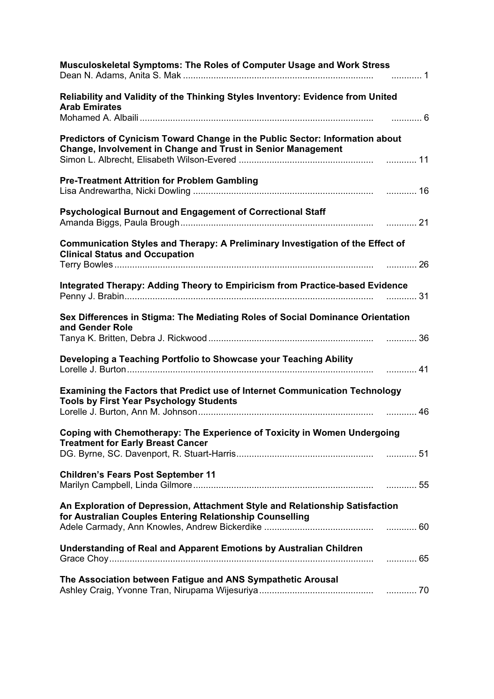| <b>Musculoskeletal Symptoms: The Roles of Computer Usage and Work Stress</b>                                                                        |
|-----------------------------------------------------------------------------------------------------------------------------------------------------|
| Reliability and Validity of the Thinking Styles Inventory: Evidence from United<br><b>Arab Emirates</b><br>. 6                                      |
| Predictors of Cynicism Toward Change in the Public Sector: Information about<br><b>Change, Involvement in Change and Trust in Senior Management</b> |
| <b>Pre-Treatment Attrition for Problem Gambling</b>                                                                                                 |
| Psychological Burnout and Engagement of Correctional Staff                                                                                          |
| <b>Communication Styles and Therapy: A Preliminary Investigation of the Effect of</b><br><b>Clinical Status and Occupation</b>                      |
| Integrated Therapy: Adding Theory to Empiricism from Practice-based Evidence                                                                        |
| Sex Differences in Stigma: The Mediating Roles of Social Dominance Orientation<br>and Gender Role                                                   |
| Developing a Teaching Portfolio to Showcase your Teaching Ability                                                                                   |
| Examining the Factors that Predict use of Internet Communication Technology<br><b>Tools by First Year Psychology Students</b>                       |
| Coping with Chemotherapy: The Experience of Toxicity in Women Undergoing<br><b>Treatment for Early Breast Cancer</b>                                |
| <b>Children's Fears Post September 11</b>                                                                                                           |
| An Exploration of Depression, Attachment Style and Relationship Satisfaction<br>for Australian Couples Entering Relationship Counselling            |
| <b>Understanding of Real and Apparent Emotions by Australian Children</b>                                                                           |
| The Association between Fatigue and ANS Sympathetic Arousal                                                                                         |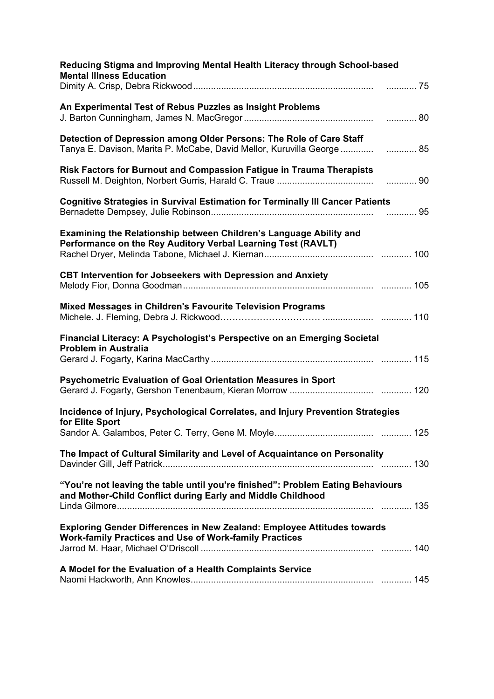| Reducing Stigma and Improving Mental Health Literacy through School-based<br><b>Mental Illness Education</b>                                   |  |
|------------------------------------------------------------------------------------------------------------------------------------------------|--|
|                                                                                                                                                |  |
| An Experimental Test of Rebus Puzzles as Insight Problems                                                                                      |  |
| Detection of Depression among Older Persons: The Role of Care Staff<br>Tanya E. Davison, Marita P. McCabe, David Mellor, Kuruvilla George  85  |  |
| Risk Factors for Burnout and Compassion Fatigue in Trauma Therapists                                                                           |  |
| <b>Cognitive Strategies in Survival Estimation for Terminally III Cancer Patients</b>                                                          |  |
| Examining the Relationship between Children's Language Ability and<br>Performance on the Rey Auditory Verbal Learning Test (RAVLT)             |  |
| <b>CBT Intervention for Jobseekers with Depression and Anxiety</b>                                                                             |  |
| <b>Mixed Messages in Children's Favourite Television Programs</b>                                                                              |  |
| Financial Literacy: A Psychologist's Perspective on an Emerging Societal<br><b>Problem in Australia</b>                                        |  |
| <b>Psychometric Evaluation of Goal Orientation Measures in Sport</b>                                                                           |  |
| Incidence of Injury, Psychological Correlates, and Injury Prevention Strategies                                                                |  |
| for Elite Sport                                                                                                                                |  |
| The Impact of Cultural Similarity and Level of Acquaintance on Personality                                                                     |  |
| "You're not leaving the table until you're finished": Problem Eating Behaviours<br>and Mother-Child Conflict during Early and Middle Childhood |  |
| Exploring Gender Differences in New Zealand: Employee Attitudes towards<br><b>Work-family Practices and Use of Work-family Practices</b>       |  |
| A Model for the Evaluation of a Health Complaints Service                                                                                      |  |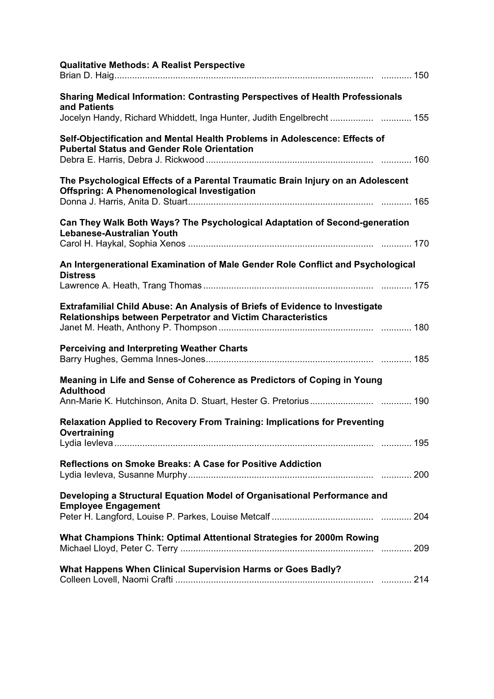| <b>Qualitative Methods: A Realist Perspective</b>                                                                                                  |
|----------------------------------------------------------------------------------------------------------------------------------------------------|
| <b>Sharing Medical Information: Contrasting Perspectives of Health Professionals</b><br>and Patients                                               |
| Jocelyn Handy, Richard Whiddett, Inga Hunter, Judith Engelbrecht  155                                                                              |
| Self-Objectification and Mental Health Problems in Adolescence: Effects of<br><b>Pubertal Status and Gender Role Orientation</b>                   |
| The Psychological Effects of a Parental Traumatic Brain Injury on an Adolescent<br><b>Offspring: A Phenomenological Investigation</b>              |
| Can They Walk Both Ways? The Psychological Adaptation of Second-generation<br>Lebanese-Australian Youth                                            |
| An Intergenerational Examination of Male Gender Role Conflict and Psychological<br><b>Distress</b>                                                 |
| <b>Extrafamilial Child Abuse: An Analysis of Briefs of Evidence to Investigate</b><br>Relationships between Perpetrator and Victim Characteristics |
| <b>Perceiving and Interpreting Weather Charts</b>                                                                                                  |
| Meaning in Life and Sense of Coherence as Predictors of Coping in Young<br><b>Adulthood</b>                                                        |
|                                                                                                                                                    |
| <b>Relaxation Applied to Recovery From Training: Implications for Preventing</b><br>Overtraining                                                   |
| <b>Reflections on Smoke Breaks: A Case for Positive Addiction</b>                                                                                  |
| Developing a Structural Equation Model of Organisational Performance and<br><b>Employee Engagement</b>                                             |
| What Champions Think: Optimal Attentional Strategies for 2000m Rowing                                                                              |
| What Happens When Clinical Supervision Harms or Goes Badly?                                                                                        |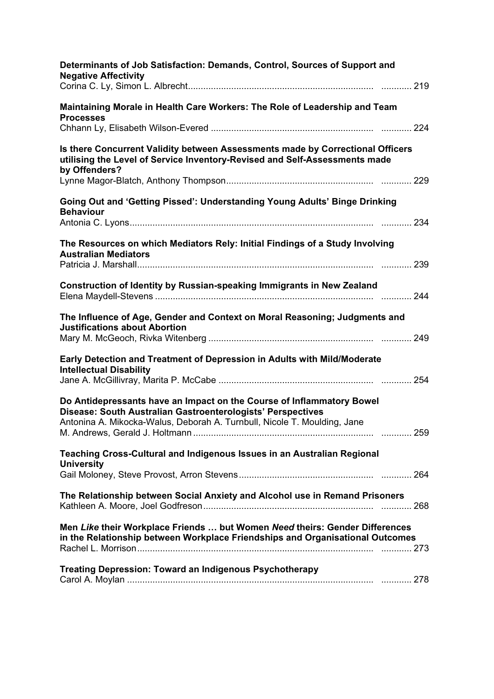| Determinants of Job Satisfaction: Demands, Control, Sources of Support and<br><b>Negative Affectivity</b>                                                                                                        |
|------------------------------------------------------------------------------------------------------------------------------------------------------------------------------------------------------------------|
| Maintaining Morale in Health Care Workers: The Role of Leadership and Team<br><b>Processes</b>                                                                                                                   |
| Is there Concurrent Validity between Assessments made by Correctional Officers<br>utilising the Level of Service Inventory-Revised and Self-Assessments made<br>by Offenders?                                    |
| Going Out and 'Getting Pissed': Understanding Young Adults' Binge Drinking<br><b>Behaviour</b>                                                                                                                   |
| The Resources on which Mediators Rely: Initial Findings of a Study Involving<br><b>Australian Mediators</b>                                                                                                      |
| Construction of Identity by Russian-speaking Immigrants in New Zealand                                                                                                                                           |
| The Influence of Age, Gender and Context on Moral Reasoning; Judgments and<br><b>Justifications about Abortion</b>                                                                                               |
| Early Detection and Treatment of Depression in Adults with Mild/Moderate<br><b>Intellectual Disability</b>                                                                                                       |
| Do Antidepressants have an Impact on the Course of Inflammatory Bowel<br>Disease: South Australian Gastroenterologists' Perspectives<br>Antonina A. Mikocka-Walus, Deborah A. Turnbull, Nicole T. Moulding, Jane |
| Teaching Cross-Cultural and Indigenous Issues in an Australian Regional<br><b>University</b>                                                                                                                     |
| The Relationship between Social Anxiety and Alcohol use in Remand Prisoners                                                                                                                                      |
| Men Like their Workplace Friends  but Women Need theirs: Gender Differences<br>in the Relationship between Workplace Friendships and Organisational Outcomes                                                     |
| <b>Treating Depression: Toward an Indigenous Psychotherapy</b>                                                                                                                                                   |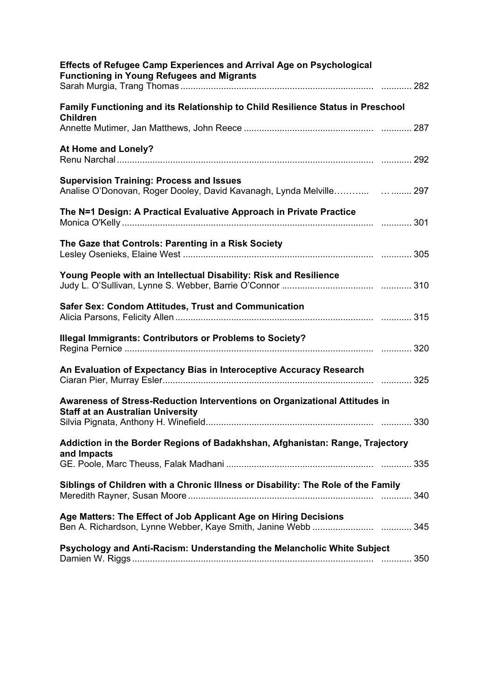| <b>Effects of Refugee Camp Experiences and Arrival Age on Psychological</b><br><b>Functioning in Young Refugees and Migrants</b> |  |
|----------------------------------------------------------------------------------------------------------------------------------|--|
| Family Functioning and its Relationship to Child Resilience Status in Preschool<br><b>Children</b>                               |  |
|                                                                                                                                  |  |
| At Home and Lonely?                                                                                                              |  |
| <b>Supervision Training: Process and Issues</b><br>Analise O'Donovan, Roger Dooley, David Kavanagh, Lynda Melville 297           |  |
| The N=1 Design: A Practical Evaluative Approach in Private Practice                                                              |  |
| The Gaze that Controls: Parenting in a Risk Society                                                                              |  |
| Young People with an Intellectual Disability: Risk and Resilience                                                                |  |
| <b>Safer Sex: Condom Attitudes, Trust and Communication</b>                                                                      |  |
| <b>Illegal Immigrants: Contributors or Problems to Society?</b>                                                                  |  |
| An Evaluation of Expectancy Bias in Interoceptive Accuracy Research                                                              |  |
| Awareness of Stress-Reduction Interventions on Organizational Attitudes in                                                       |  |
| <b>Staff at an Australian University</b>                                                                                         |  |
| Addiction in the Border Regions of Badakhshan, Afghanistan: Range, Trajectory                                                    |  |
| and Impacts                                                                                                                      |  |
| Siblings of Children with a Chronic Illness or Disability: The Role of the Family                                                |  |
| Age Matters: The Effect of Job Applicant Age on Hiring Decisions                                                                 |  |
| Psychology and Anti-Racism: Understanding the Melancholic White Subject                                                          |  |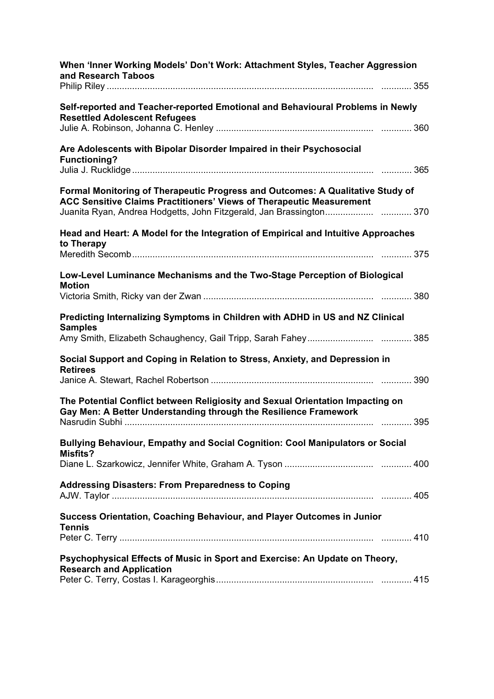| When 'Inner Working Models' Don't Work: Attachment Styles, Teacher Aggression<br>and Research Taboos                                                          |  |  |
|---------------------------------------------------------------------------------------------------------------------------------------------------------------|--|--|
|                                                                                                                                                               |  |  |
| Self-reported and Teacher-reported Emotional and Behavioural Problems in Newly<br><b>Resettled Adolescent Refugees</b>                                        |  |  |
|                                                                                                                                                               |  |  |
| Are Adolescents with Bipolar Disorder Impaired in their Psychosocial<br><b>Functioning?</b>                                                                   |  |  |
| Formal Monitoring of Therapeutic Progress and Outcomes: A Qualitative Study of<br><b>ACC Sensitive Claims Practitioners' Views of Therapeutic Measurement</b> |  |  |
| Juanita Ryan, Andrea Hodgetts, John Fitzgerald, Jan Brassington370                                                                                            |  |  |
| Head and Heart: A Model for the Integration of Empirical and Intuitive Approaches<br>to Therapy                                                               |  |  |
|                                                                                                                                                               |  |  |
| Low-Level Luminance Mechanisms and the Two-Stage Perception of Biological                                                                                     |  |  |
| <b>Motion</b>                                                                                                                                                 |  |  |
|                                                                                                                                                               |  |  |
| Predicting Internalizing Symptoms in Children with ADHD in US and NZ Clinical<br><b>Samples</b>                                                               |  |  |
|                                                                                                                                                               |  |  |
| Social Support and Coping in Relation to Stress, Anxiety, and Depression in<br><b>Retirees</b>                                                                |  |  |
|                                                                                                                                                               |  |  |
| The Potential Conflict between Religiosity and Sexual Orientation Impacting on<br>Gay Men: A Better Understanding through the Resilience Framework            |  |  |
|                                                                                                                                                               |  |  |
| Bullying Behaviour, Empathy and Social Cognition: Cool Manipulators or Social<br><b>Misfits?</b>                                                              |  |  |
|                                                                                                                                                               |  |  |
| <b>Addressing Disasters: From Preparedness to Coping</b>                                                                                                      |  |  |
| Success Orientation, Coaching Behaviour, and Player Outcomes in Junior<br><b>Tennis</b>                                                                       |  |  |
|                                                                                                                                                               |  |  |
| Psychophysical Effects of Music in Sport and Exercise: An Update on Theory,<br><b>Research and Application</b>                                                |  |  |
|                                                                                                                                                               |  |  |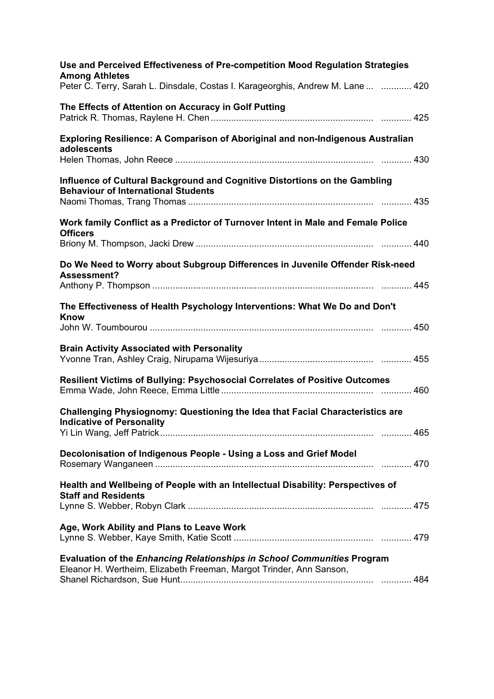| Use and Perceived Effectiveness of Pre-competition Mood Regulation Strategies<br><b>Among Athletes</b>                                         |
|------------------------------------------------------------------------------------------------------------------------------------------------|
| Peter C. Terry, Sarah L. Dinsdale, Costas I. Karageorghis, Andrew M. Lane   420                                                                |
| The Effects of Attention on Accuracy in Golf Putting                                                                                           |
| <b>Exploring Resilience: A Comparison of Aboriginal and non-Indigenous Australian</b><br>adolescents                                           |
| Influence of Cultural Background and Cognitive Distortions on the Gambling<br><b>Behaviour of International Students</b>                       |
| Work family Conflict as a Predictor of Turnover Intent in Male and Female Police<br><b>Officers</b>                                            |
| Do We Need to Worry about Subgroup Differences in Juvenile Offender Risk-need<br>Assessment?                                                   |
| The Effectiveness of Health Psychology Interventions: What We Do and Don't<br><b>Know</b>                                                      |
| <b>Brain Activity Associated with Personality</b>                                                                                              |
| <b>Resilient Victims of Bullying: Psychosocial Correlates of Positive Outcomes</b>                                                             |
| Challenging Physiognomy: Questioning the Idea that Facial Characteristics are<br><b>Indicative of Personality</b>                              |
| Decolonisation of Indigenous People - Using a Loss and Grief Model                                                                             |
| Health and Wellbeing of People with an Intellectual Disability: Perspectives of<br><b>Staff and Residents</b>                                  |
| Age, Work Ability and Plans to Leave Work                                                                                                      |
| Evaluation of the Enhancing Relationships in School Communities Program<br>Eleanor H. Wertheim, Elizabeth Freeman, Margot Trinder, Ann Sanson, |